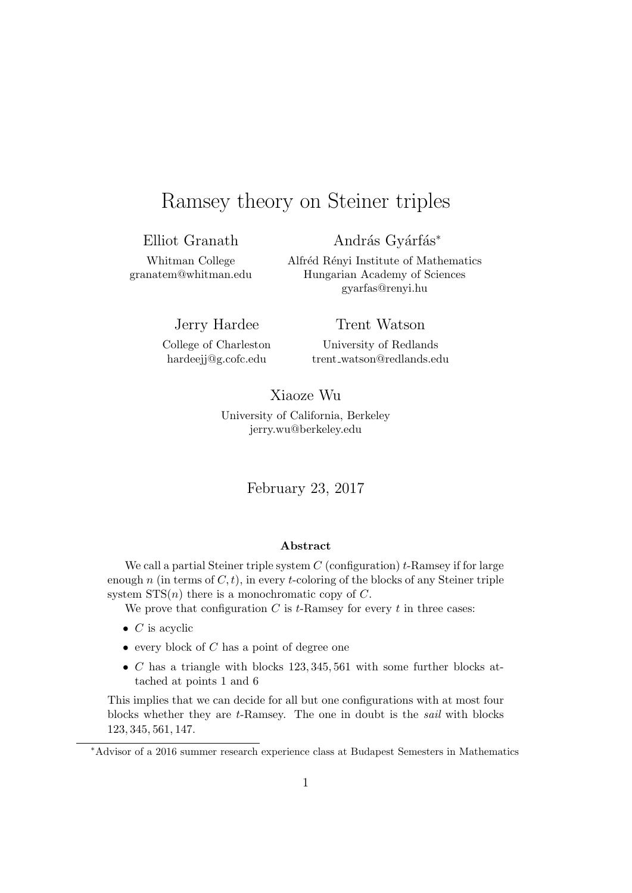# Ramsey theory on Steiner triples

Elliot Granath

András Gyárfás<sup>\*</sup>

Whitman College granatem@whitman.edu Alfréd Rényi Institute of Mathematics Hungarian Academy of Sciences gyarfas@renyi.hu

Jerry Hardee

Trent Watson

College of Charleston hardeejj@g.cofc.edu

University of Redlands trent watson@redlands.edu

Xiaoze Wu University of California, Berkeley jerry.wu@berkeley.edu

February 23, 2017

#### **Abstract**

We call a partial Steiner triple system *C* (configuration) *t*-Ramsey if for large enough *n* (in terms of  $C, t$ ), in every *t*-coloring of the blocks of any Steiner triple system STS(*n*) there is a monochromatic copy of *C*.

We prove that configuration  $C$  is  $t$ -Ramsey for every  $t$  in three cases:

- *• C* is acyclic
- *•* every block of *C* has a point of degree one
- *• C* has a triangle with blocks 123*,* 345*,* 561 with some further blocks attached at points 1 and 6

This implies that we can decide for all but one configurations with at most four blocks whether they are *t*-Ramsey. The one in doubt is the *sail* with blocks 123*,* 345*,* 561*,* 147.

*<sup>∗</sup>*Advisor of a 2016 summer research experience class at Budapest Semesters in Mathematics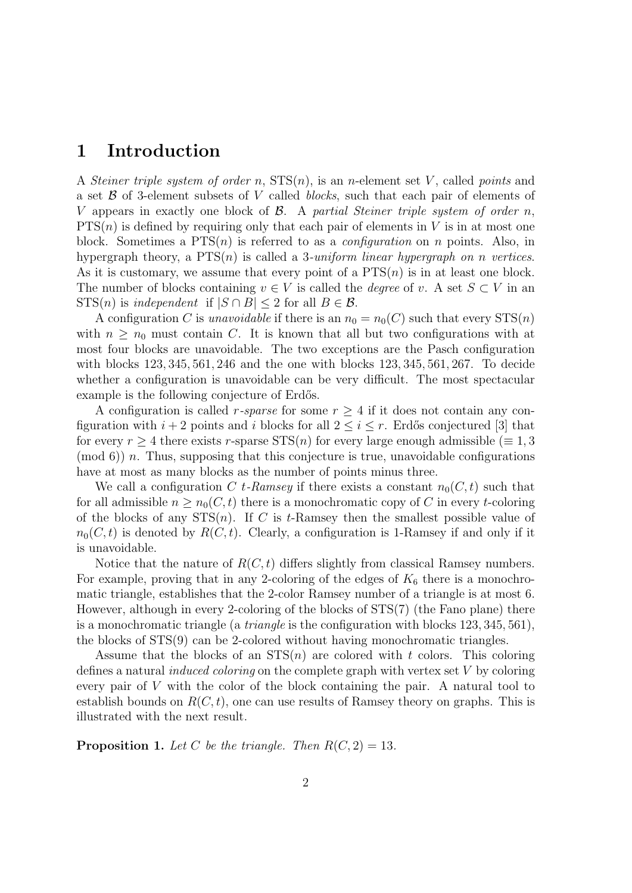### **1 Introduction**

A *Steiner triple system of order n*, STS(*n*), is an *n*-element set *V* , called *points* and a set *B* of 3-element subsets of *V* called *blocks*, such that each pair of elements of *V* appears in exactly one block of *B*. A *partial Steiner triple system of order n*,  $PTS(n)$  is defined by requiring only that each pair of elements in *V* is in at most one block. Sometimes a PTS(*n*) is referred to as a *configuration* on *n* points. Also, in hypergraph theory, a PTS(*n*) is called a 3*-uniform linear hypergraph on n vertices*. As it is customary, we assume that every point of a PTS(*n*) is in at least one block. The number of blocks containing  $v \in V$  is called the *degree* of *v*. A set  $S \subset V$  in an  $STS(n)$  is *independent* if  $|S \cap B| \leq 2$  for all  $B \in \mathcal{B}$ .

A configuration *C* is *unavoidable* if there is an  $n_0 = n_0(C)$  such that every  $STS(n)$ with  $n \geq n_0$  must contain *C*. It is known that all but two configurations with at most four blocks are unavoidable. The two exceptions are the Pasch configuration with blocks 123*,* 345*,* 561*,* 246 and the one with blocks 123*,* 345*,* 561*,* 267. To decide whether a configuration is unavoidable can be very difficult. The most spectacular example is the following conjecture of Erdős.

A configuration is called *r-sparse* for some  $r \geq 4$  if it does not contain any configuration with  $i + 2$  points and  $i$  blocks for all  $2 \leq i \leq r$ . Erdős conjectured [3] that for every  $r \geq 4$  there exists *r*-sparse STS(*n*) for every large enough admissible ( $\equiv 1, 3$ ) (mod 6)) *n*. Thus, supposing that this conjecture is true, unavoidable configurations have at most as many blocks as the number of points minus three.

We call a configuration *C t-Ramsey* if there exists a constant  $n_0(C, t)$  such that for all admissible  $n \geq n_0(C, t)$  there is a monochromatic copy of C in every *t*-coloring of the blocks of any STS(*n*). If *C* is *t*-Ramsey then the smallest possible value of  $n_0(C, t)$  is denoted by  $R(C, t)$ . Clearly, a configuration is 1-Ramsey if and only if it is unavoidable.

Notice that the nature of  $R(C, t)$  differs slightly from classical Ramsey numbers. For example, proving that in any 2-coloring of the edges of  $K_6$  there is a monochromatic triangle, establishes that the 2-color Ramsey number of a triangle is at most 6. However, although in every 2-coloring of the blocks of STS(7) (the Fano plane) there is a monochromatic triangle (a *triangle* is the configuration with blocks 123*,* 345*,* 561), the blocks of STS(9) can be 2-colored without having monochromatic triangles.

Assume that the blocks of an  $STS(n)$  are colored with *t* colors. This coloring defines a natural *induced coloring* on the complete graph with vertex set *V* by coloring every pair of *V* with the color of the block containing the pair. A natural tool to establish bounds on  $R(C, t)$ , one can use results of Ramsey theory on graphs. This is illustrated with the next result.

**Proposition 1.** Let C be the triangle. Then  $R(C, 2) = 13$ .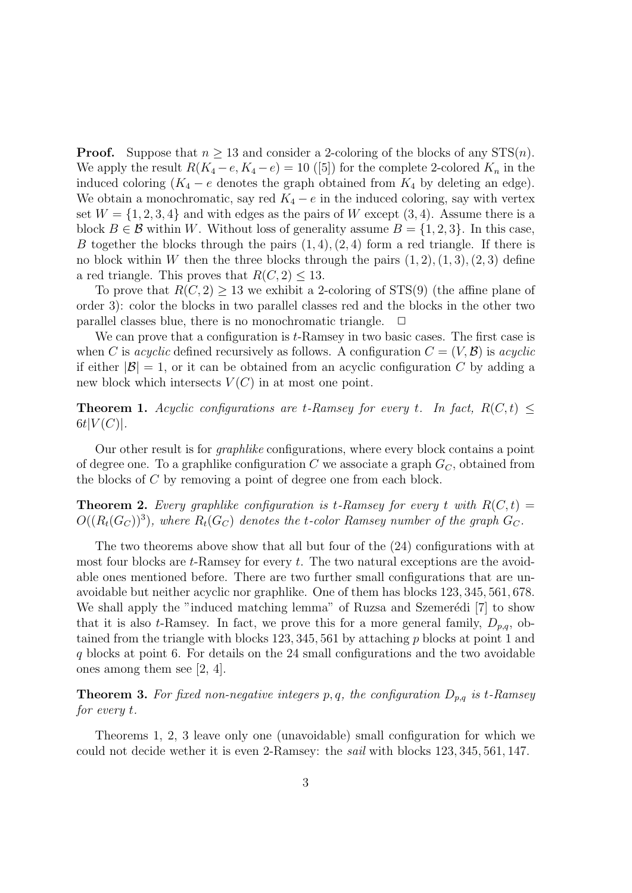**Proof.** Suppose that  $n \geq 13$  and consider a 2-coloring of the blocks of any  $STS(n)$ . We apply the result  $R(K_4 - e, K_4 - e) = 10$  ([5]) for the complete 2-colored  $K_n$  in the induced coloring  $(K_4 - e$  denotes the graph obtained from  $K_4$  by deleting an edge). We obtain a monochromatic, say red  $K_4 - e$  in the induced coloring, say with vertex set  $W = \{1, 2, 3, 4\}$  and with edges as the pairs of W except  $(3, 4)$ . Assume there is a block  $B \in \mathcal{B}$  within *W*. Without loss of generality assume  $B = \{1, 2, 3\}$ . In this case, *B* together the blocks through the pairs (1*,* 4)*,*(2*,* 4) form a red triangle. If there is no block within *W* then the three blocks through the pairs  $(1, 2), (1, 3), (2, 3)$  define a red triangle. This proves that  $R(C, 2) \leq 13$ .

To prove that  $R(C, 2) \geq 13$  we exhibit a 2-coloring of STS(9) (the affine plane of order 3): color the blocks in two parallel classes red and the blocks in the other two parallel classes blue, there is no monochromatic triangle.  $\Box$ 

We can prove that a configuration is *t*-Ramsey in two basic cases. The first case is when *C* is *acyclic* defined recursively as follows. A configuration  $C = (V, \mathcal{B})$  is *acyclic* if either  $|\mathcal{B}| = 1$ , or it can be obtained from an acyclic configuration *C* by adding a new block which intersects  $V(C)$  in at most one point.

**Theorem 1.** *Acyclic configurations are t-Ramsey for every <i>t. In fact,*  $R(C, t) \leq$  $6t|V(C)|$ .

Our other result is for *graphlike* configurations, where every block contains a point of degree one. To a graphlike configuration *C* we associate a graph *GC*, obtained from the blocks of *C* by removing a point of degree one from each block.

**Theorem 2.** Every graphlike configuration is t-Ramsey for every t with  $R(C, t)$  =  $O((R_t(G_C))^3)$ , where  $R_t(G_C)$  denotes the *t*-color Ramsey number of the graph  $G_C$ .

The two theorems above show that all but four of the (24) configurations with at most four blocks are *t*-Ramsey for every *t*. The two natural exceptions are the avoidable ones mentioned before. There are two further small configurations that are unavoidable but neither acyclic nor graphlike. One of them has blocks 123*,* 345*,* 561*,* 678. We shall apply the "induced matching lemma" of Ruzsa and Szemerédi [7] to show that it is also *t*-Ramsey. In fact, we prove this for a more general family,  $D_{p,q}$ , obtained from the triangle with blocks 123*,* 345*,* 561 by attaching *p* blocks at point 1 and *q* blocks at point 6. For details on the 24 small configurations and the two avoidable ones among them see [2, 4].

**Theorem 3.** *For fixed non-negative integers p, q, the configuration Dp,q is t-Ramsey for every t.*

Theorems 1, 2, 3 leave only one (unavoidable) small configuration for which we could not decide wether it is even 2-Ramsey: the *sail* with blocks 123*,* 345*,* 561*,* 147.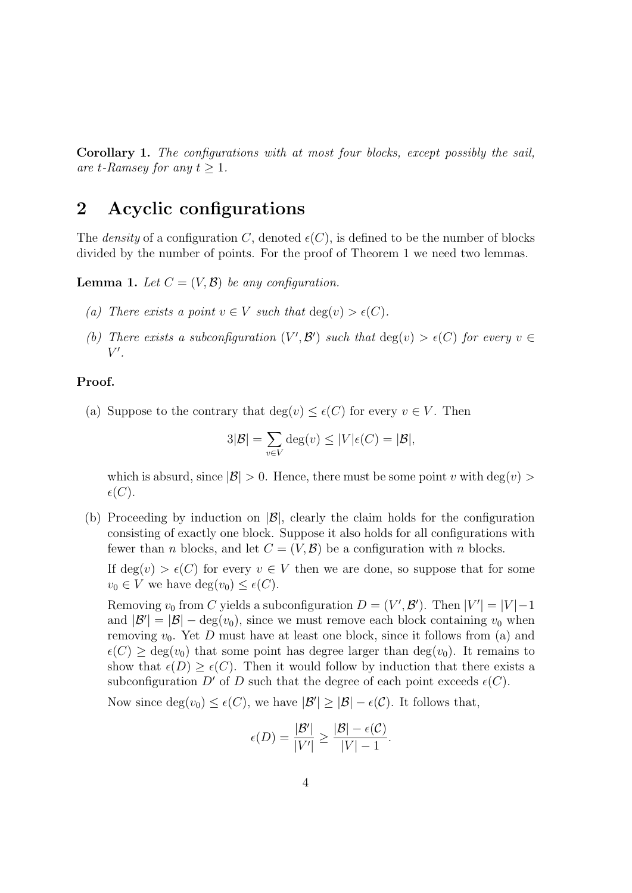**Corollary 1.** *The configurations with at most four blocks, except possibly the sail, are t*-Ramsey for any  $t > 1$ .

### **2 Acyclic configurations**

The *density* of a configuration *C*, denoted  $\epsilon$ (*C*), is defined to be the number of blocks divided by the number of points. For the proof of Theorem 1 we need two lemmas.

**Lemma 1.** Let  $C = (V, \mathcal{B})$  be any configuration.

- *(a) There exists a point*  $v \in V$  *such that*  $deg(v) > \epsilon(C)$ *.*
- *(b) There exists a subconfiguration*  $(V', \mathcal{B}')$  *such that*  $deg(v) > \epsilon(C)$  *for every*  $v \in$ *V ′ .*

#### **Proof.**

(a) Suppose to the contrary that  $deg(v) \leq \epsilon(C)$  for every  $v \in V$ . Then

$$
3|\mathcal{B}| = \sum_{v \in V} \deg(v) \le |V|\epsilon(C) = |\mathcal{B}|,
$$

which is absurd, since  $|\mathcal{B}| > 0$ . Hence, there must be some point *v* with deg(*v*) >  $\epsilon(C).$ 

(b) Proceeding by induction on *|B|*, clearly the claim holds for the configuration consisting of exactly one block. Suppose it also holds for all configurations with fewer than *n* blocks, and let  $C = (V, \mathcal{B})$  be a configuration with *n* blocks.

If  $deg(v) > \epsilon(C)$  for every  $v \in V$  then we are done, so suppose that for some  $v_0 \in V$  we have  $deg(v_0) \leq \epsilon(C)$ .

Removing  $v_0$  from *C* yields a subconfiguration  $D = (V', \mathcal{B}')$ . Then  $|V'| = |V| - 1$ and  $|\mathcal{B}'| = |\mathcal{B}| - \deg(v_0)$ , since we must remove each block containing  $v_0$  when removing  $v_0$ . Yet *D* must have at least one block, since it follows from (a) and  $\epsilon(C) \geq \deg(v_0)$  that some point has degree larger than  $\deg(v_0)$ . It remains to show that  $\epsilon(D) > \epsilon(C)$ . Then it would follow by induction that there exists a subconfiguration *D'* of *D* such that the degree of each point exceeds  $\epsilon(C)$ .

Now since  $deg(v_0) \leq \epsilon(C)$ , we have  $|\mathcal{B}'| \geq |\mathcal{B}| - \epsilon(\mathcal{C})$ . It follows that,

$$
\epsilon(D) = \frac{|\mathcal{B}'|}{|V'|} \ge \frac{|\mathcal{B}| - \epsilon(C)}{|V| - 1}.
$$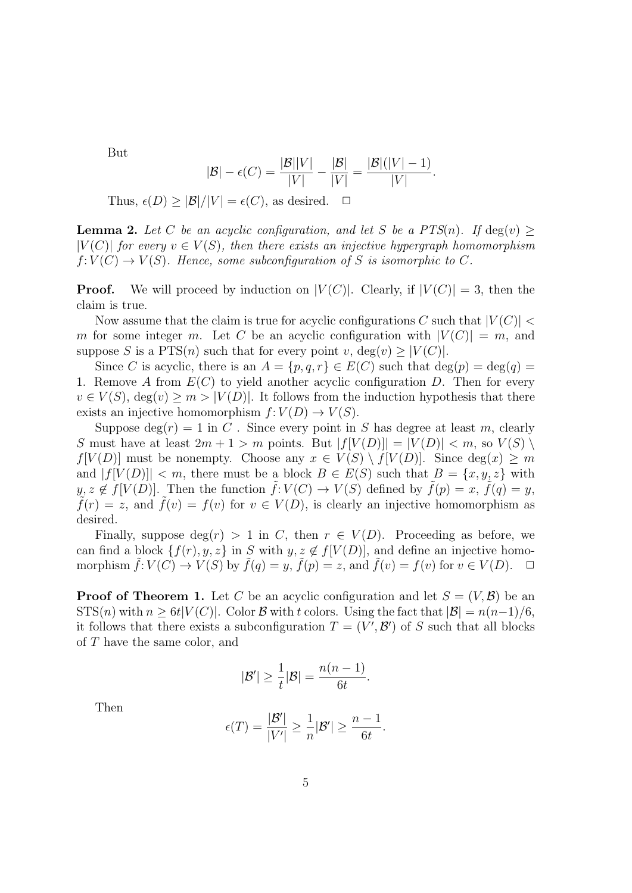But

$$
|B| - \epsilon(C) = \frac{|B||V|}{|V|} - \frac{|B|}{|V|} = \frac{|B|(|V| - 1)}{|V|}.
$$

Thus,  $\epsilon(D) \geq |\mathcal{B}|/|V| = \epsilon(C)$ , as desired.  $\Box$ 

**Lemma 2.** Let *C* be an acyclic configuration, and let *S* be a  $PTS(n)$ *.* If deg(*v*)  $\ge$  $|V(C)|$  *for every*  $v \in V(S)$ *, then there exists an injective hypergraph homomorphism*  $f: V(C) \rightarrow V(S)$ . Hence, some subconfiguration of *S* is isomorphic to *C*.

**Proof.** We will proceed by induction on  $|V(C)|$ . Clearly, if  $|V(C)| = 3$ , then the claim is true.

Now assume that the claim is true for acyclic configurations *C* such that  $|V(C)|$ *m* for some integer *m*. Let *C* be an acyclic configuration with  $|V(C)| = m$ , and suppose *S* is a PTS(*n*) such that for every point *v*, deg(*v*)  $\geq$  |*V*(*C*)|.

Since *C* is acyclic, there is an  $A = \{p, q, r\} \in E(C)$  such that  $\deg(p) = \deg(q)$ 1. Remove *A* from *E*(*C*) to yield another acyclic configuration *D*. Then for every  $v \in V(S)$ ,  $deg(v) \geq m > |V(D)|$ . It follows from the induction hypothesis that there exists an injective homomorphism  $f: V(D) \to V(S)$ .

Suppose  $\deg(r) = 1$  in *C*. Since every point in *S* has degree at least *m*, clearly *S* must have at least  $2m + 1 > m$  points. But  $|f[V(D)]| = |V(D)| < m$ , so  $V(S)$ *f*[*V*(*D*)] must be nonempty. Choose any  $x \in V(S) \setminus f[V(D)]$ . Since deg(*x*)  $\geq m$ and  $|f[V(D)]| < m$ , there must be a block  $B \in E(S)$  such that  $B = \{x, y, z\}$  with  $y, z \notin f[V(D)]$ . Then the function  $\tilde{f}: V(C) \to V(S)$  defined by  $\tilde{f}(p) = x, \tilde{f}(q) = y$ ,  $f(r) = z$ , and  $f(v) = f(v)$  for  $v \in V(D)$ , is clearly an injective homomorphism as desired.

Finally, suppose  $\deg(r) > 1$  in *C*, then  $r \in V(D)$ . Proceeding as before, we can find a block  $\{f(r), y, z\}$  in *S* with  $y, z \notin f[V(D)]$ , and define an injective homomorphism  $\tilde{f}: V(C) \to V(S)$  by  $\tilde{f}(q) = y$ ,  $\tilde{f}(p) = z$ , and  $\tilde{f}(v) = f(v)$  for  $v \in V(D)$ .

**Proof of Theorem 1.** Let *C* be an acyclic configuration and let  $S = (V, \mathcal{B})$  be an  $STS(n)$  with  $n > 6t|V(C)|$ . Color *B* with *t* colors. Using the fact that  $|B| = n(n-1)/6$ , it follows that there exists a subconfiguration  $T = (V', \mathcal{B}')$  of *S* such that all blocks of *T* have the same color, and

$$
|\mathcal{B}'|\geq \frac{1}{t}|\mathcal{B}|=\frac{n(n-1)}{6t}.
$$

Then

$$
\epsilon(T) = \frac{|\mathcal{B}'|}{|V'|} \geq \frac{1}{n} |\mathcal{B}'| \geq \frac{n-1}{6t}.
$$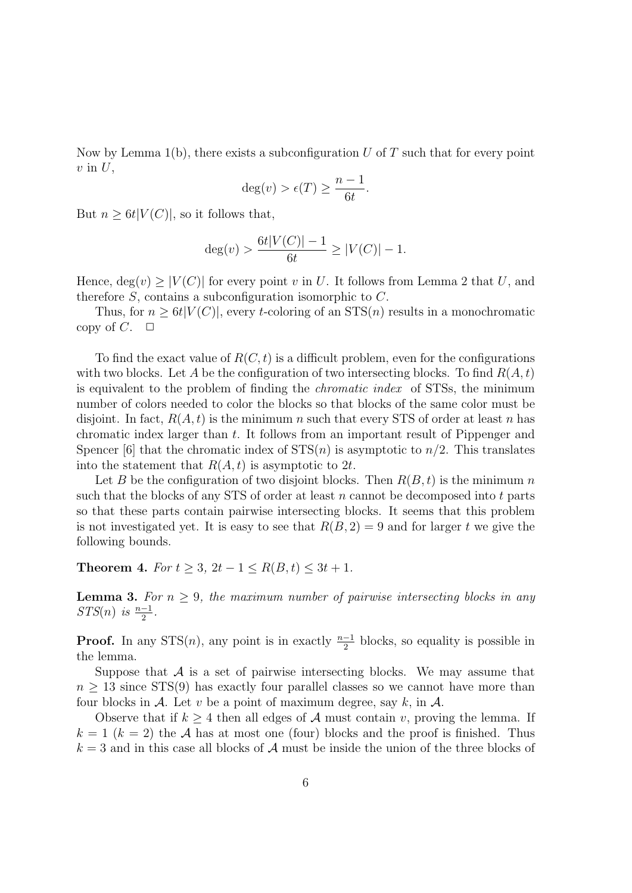Now by Lemma 1(b), there exists a subconfiguration *U* of *T* such that for every point *v* in *U*,

$$
\deg(v) > \epsilon(T) \ge \frac{n-1}{6t}.
$$

But  $n \geq 6t|V(C)|$ , so it follows that,

$$
deg(v) > \frac{6t|V(C)| - 1}{6t} \ge |V(C)| - 1.
$$

Hence,  $deg(v) \geq |V(C)|$  for every point *v* in *U*. It follows from Lemma 2 that *U*, and therefore *S*, contains a subconfiguration isomorphic to *C*.

Thus, for  $n \geq 6t|V(C)|$ , every *t*-coloring of an  $STS(n)$  results in a monochromatic copy of  $C$ .  $\Box$ 

To find the exact value of  $R(C, t)$  is a difficult problem, even for the configurations with two blocks. Let *A* be the configuration of two intersecting blocks. To find  $R(A, t)$ is equivalent to the problem of finding the *chromatic index* of STSs, the minimum number of colors needed to color the blocks so that blocks of the same color must be disjoint. In fact,  $R(A, t)$  is the minimum *n* such that every STS of order at least *n* has chromatic index larger than *t*. It follows from an important result of Pippenger and Spencer [6] that the chromatic index of  $STS(n)$  is asymptotic to  $n/2$ . This translates into the statement that  $R(A, t)$  is asymptotic to 2t.

Let *B* be the configuration of two disjoint blocks. Then  $R(B, t)$  is the minimum *n* such that the blocks of any STS of order at least *n* cannot be decomposed into *t* parts so that these parts contain pairwise intersecting blocks. It seems that this problem is not investigated yet. It is easy to see that  $R(B, 2) = 9$  and for larger t we give the following bounds.

**Theorem 4.** *For*  $t \geq 3$ ,  $2t - 1 \leq R(B, t) \leq 3t + 1$ .

**Lemma 3.** For  $n \geq 9$ , the maximum number of pairwise intersecting blocks in any *STS*(*n*) *is*  $\frac{n-1}{2}$ .

**Proof.** In any STS(*n*), any point is in exactly  $\frac{n-1}{2}$  blocks, so equality is possible in the lemma.

Suppose that  $A$  is a set of pairwise intersecting blocks. We may assume that  $n \geq 13$  since STS(9) has exactly four parallel classes so we cannot have more than four blocks in  $\mathcal A$ . Let  $v$  be a point of maximum degree, say  $k$ , in  $\mathcal A$ .

Observe that if  $k \geq 4$  then all edges of *A* must contain *v*, proving the lemma. If  $k = 1$  ( $k = 2$ ) the *A* has at most one (four) blocks and the proof is finished. Thus  $k = 3$  and in this case all blocks of  $A$  must be inside the union of the three blocks of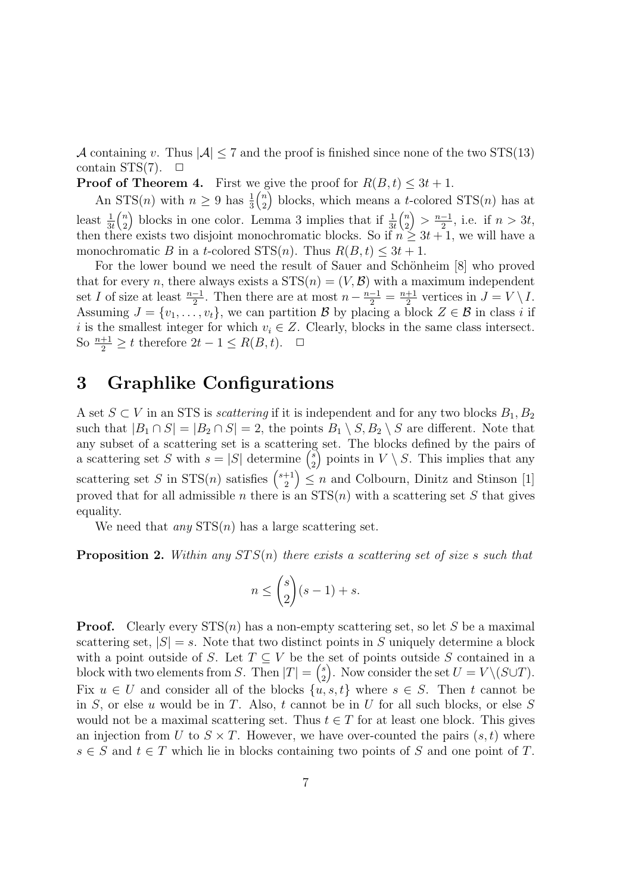*A* containing *v*. Thus  $|A| \leq 7$  and the proof is finished since none of the two STS(13) contain  $STS(7)$ .  $\Box$ 

**Proof of Theorem 4.** First we give the proof for  $R(B, t) \leq 3t + 1$ .

An  $STS(n)$  with  $n \geq 9$  has  $\frac{1}{3}$ ( *n* 2 blocks, which means a *t*-colored  $STS(n)$  has at least  $\frac{1}{3t}$ ( *n* 2 ) blocks in one color. Lemma 3 implies that if  $\frac{1}{3t}$ ( *n* 2  $\left($ *)* >  $\frac{n-1}{2}$ , i.e. if *n* > 3*t*, then there exists two disjoint monochromatic blocks. So if  $n \geq 3t + 1$ , we will have a monochromatic *B* in a *t*-colored STS(*n*). Thus  $R(B, t) \leq 3t + 1$ .

For the lower bound we need the result of Sauer and Schönheim [8] who proved that for every *n*, there always exists a  $STS(n) = (V, \mathcal{B})$  with a maximum independent set *I* of size at least  $\frac{n-1}{2}$ . Then there are at most  $n - \frac{n-1}{2} = \frac{n+1}{2}$  $\frac{+1}{2}$  vertices in  $J = V \setminus I$ . Assuming  $J = \{v_1, \ldots, v_t\}$ , we can partition  $\mathcal{B}$  by placing a block  $Z \in \mathcal{B}$  in class *i* if *i* is the smallest integer for which  $v_i \in Z$ . Clearly, blocks in the same class intersect. So  $\frac{n+1}{2}$  ≥ *t* therefore  $2t - 1 \le R(B, t)$ .  $\Box$ 

### **3 Graphlike Configurations**

A set *S* ⊂ *V* in an STS is *scattering* if it is independent and for any two blocks  $B_1, B_2$ such that  $|B_1 \cap S| = |B_2 \cap S| = 2$ , the points  $B_1 \setminus S, B_2 \setminus S$  are different. Note that any subset of a scattering set is a scattering set. The blocks defined by the pairs of a scattering set *S* with  $s = |S|$  determine  $\binom{s}{2}$ 2 ) points in  $V \setminus S$ . This implies that any scattering set *S* in STS(*n*) satisfies  $\binom{s+1}{2}$ 2  $\left( \sum_{i=1}^{n} n \right)$  and Colbourn, Dinitz and Stinson [1] proved that for all admissible *n* there is an  $STS(n)$  with a scattering set *S* that gives equality.

We need that *any* STS(*n*) has a large scattering set.

**Proposition 2.** *Within any ST S*(*n*) *there exists a scattering set of size s such that*

$$
n\leq \binom{s}{2}(s-1)+s.
$$

**Proof.** Clearly every  $STS(n)$  has a non-empty scattering set, so let *S* be a maximal scattering set,  $|S| = s$ . Note that two distinct points in S uniquely determine a block with a point outside of *S*. Let  $T \subseteq V$  be the set of points outside *S* contained in a block with two elements from *S*. Then  $|T| = \binom{s}{2}$ 2 ). Now consider the set  $U = V \setminus (S \cup T)$ . Fix  $u \in U$  and consider all of the blocks  $\{u, s, t\}$  where  $s \in S$ . Then *t* cannot be in *S*, or else *u* would be in *T*. Also, *t* cannot be in *U* for all such blocks, or else *S* would not be a maximal scattering set. Thus  $t \in T$  for at least one block. This gives an injection from *U* to  $S \times T$ . However, we have over-counted the pairs  $(s, t)$  where  $s \in S$  and  $t \in T$  which lie in blocks containing two points of *S* and one point of *T*.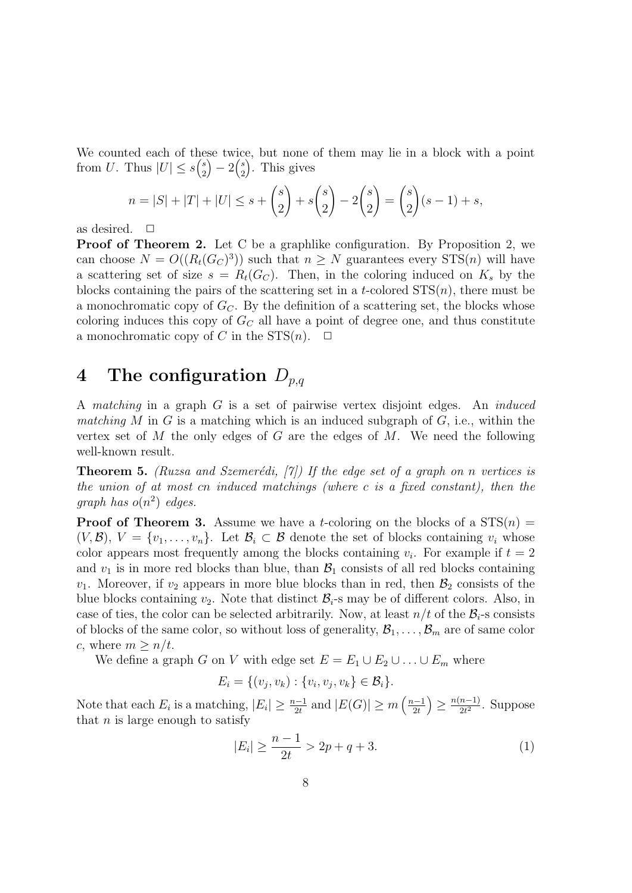We counted each of these twice, but none of them may lie in a block with a point from *U*. Thus  $|U| \leq s\binom{s}{2}$ 2  $) - 2\binom{s}{2}$ 2 ) . This gives

$$
n = |S| + |T| + |U| \le s + {s \choose 2} + s {s \choose 2} - 2 {s \choose 2} = {s \choose 2} (s - 1) + s,
$$

as desired.  $\Box$ 

**Proof of Theorem 2.** Let C be a graphlike configuration. By Proposition 2, we can choose  $N = O((R_t(G_C)^3))$  such that  $n \geq N$  guarantees every  $STS(n)$  will have a scattering set of size  $s = R_t(G_C)$ . Then, in the coloring induced on  $K_s$  by the blocks containing the pairs of the scattering set in a *t*-colored  $STS(n)$ , there must be a monochromatic copy of *GC*. By the definition of a scattering set, the blocks whose coloring induces this copy of *G<sup>C</sup>* all have a point of degree one, and thus constitute a monochromatic copy of *C* in the  $STS(n)$ .  $\Box$ 

### **4 The configuration** *Dp,q*

A *matching* in a graph *G* is a set of pairwise vertex disjoint edges. An *induced matching M* in *G* is a matching which is an induced subgraph of *G*, i.e., within the vertex set of *M* the only edges of *G* are the edges of *M*. We need the following well-known result.

**Theorem 5.** *(Ruzsa and Szemerédi, [7])* If the edge set of a graph on *n* vertices is *the union of at most cn induced matchings (where c is a fixed constant), then the graph has o*(*n* 2 ) *edges.*

**Proof of Theorem 3.** Assume we have a *t*-coloring on the blocks of a  $STS(n)$  $(V, \mathcal{B}), V = \{v_1, \ldots, v_n\}.$  Let  $\mathcal{B}_i \subset \mathcal{B}$  denote the set of blocks containing  $v_i$  whose color appears most frequently among the blocks containing  $v_i$ . For example if  $t = 2$ and  $v_1$  is in more red blocks than blue, than  $\mathcal{B}_1$  consists of all red blocks containing  $v_1$ . Moreover, if  $v_2$  appears in more blue blocks than in red, then  $\mathcal{B}_2$  consists of the blue blocks containing  $v_2$ . Note that distinct  $B_i$ -s may be of different colors. Also, in case of ties, the color can be selected arbitrarily. Now, at least  $n/t$  of the  $B_i$ -s consists of blocks of the same color, so without loss of generality,  $\mathcal{B}_1, \ldots, \mathcal{B}_m$  are of same color *c*, where  $m \geq n/t$ .

We define a graph *G* on *V* with edge set  $E = E_1 \cup E_2 \cup \ldots \cup E_m$  where

$$
E_i = \{(v_j, v_k) : \{v_i, v_j, v_k\} \in \mathcal{B}_i\}.
$$

Note that each  $E_i$  is a matching,  $|E_i| \geq \frac{n-1}{2t}$  and  $|E(G)| \geq m \left(\frac{n-1}{2t}\right)$  $\left( \frac{n(n-1)}{2t^2}$ . Suppose that  $n$  is large enough to satisfy

$$
|E_i| \ge \frac{n-1}{2t} > 2p + q + 3. \tag{1}
$$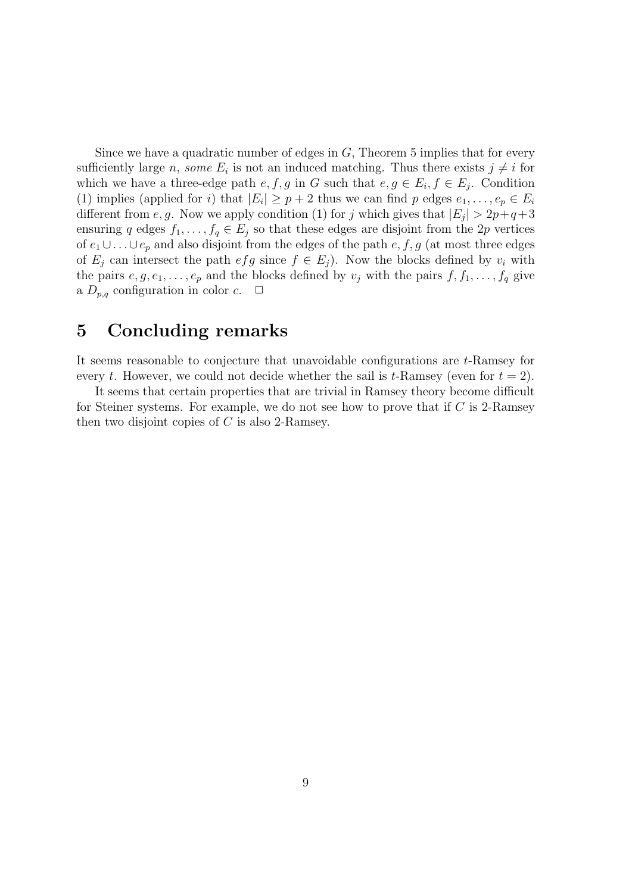Since we have a quadratic number of edges in *G*, Theorem 5 implies that for every sufficiently large *n*, *some*  $E_i$  is not an induced matching. Thus there exists  $j \neq i$  for which we have a three-edge path  $e, f, g$  in  $G$  such that  $e, g \in E_i, f \in E_j$ . Condition (1) implies (applied for *i*) that  $|E_i| \geq p+2$  thus we can find *p* edges  $e_1, \ldots, e_p \in E_i$ different from *e*, *g*. Now we apply condition (1) for *j* which gives that  $|E_j| > 2p+q+3$ ensuring *q* edges  $f_1, \ldots, f_q \in E_j$  so that these edges are disjoint from the 2*p* vertices of  $e_1 \cup \ldots \cup e_p$  and also disjoint from the edges of the path  $e, f, g$  (at most three edges of  $E_i$  can intersect the path  $efg$  since  $f \in E_i$ ). Now the blocks defined by  $v_i$  with the pairs  $e, g, e_1, \ldots, e_p$  and the blocks defined by  $v_j$  with the pairs  $f, f_1, \ldots, f_q$  give a  $D_{p,q}$  configuration in color  $c$ .  $\Box$ 

### **5 Concluding remarks**

It seems reasonable to conjecture that unavoidable configurations are *t*-Ramsey for every *t*. However, we could not decide whether the sail is *t*-Ramsey (even for  $t = 2$ ).

It seems that certain properties that are trivial in Ramsey theory become difficult for Steiner systems. For example, we do not see how to prove that if *C* is 2-Ramsey then two disjoint copies of *C* is also 2-Ramsey.